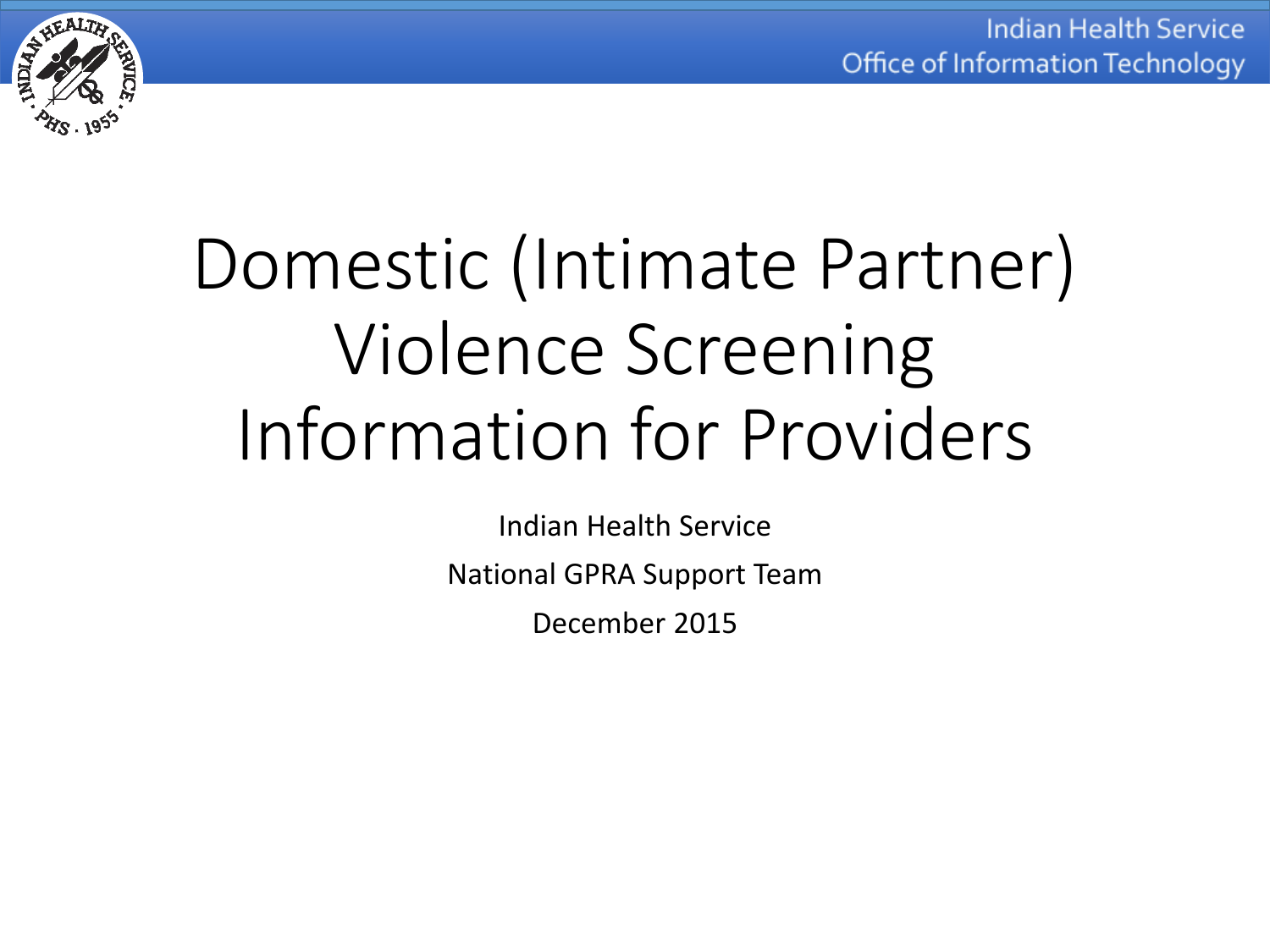

# Domestic (Intimate Partner) Violence Screening Information for Providers

Indian Health Service National GPRA Support Team December 2015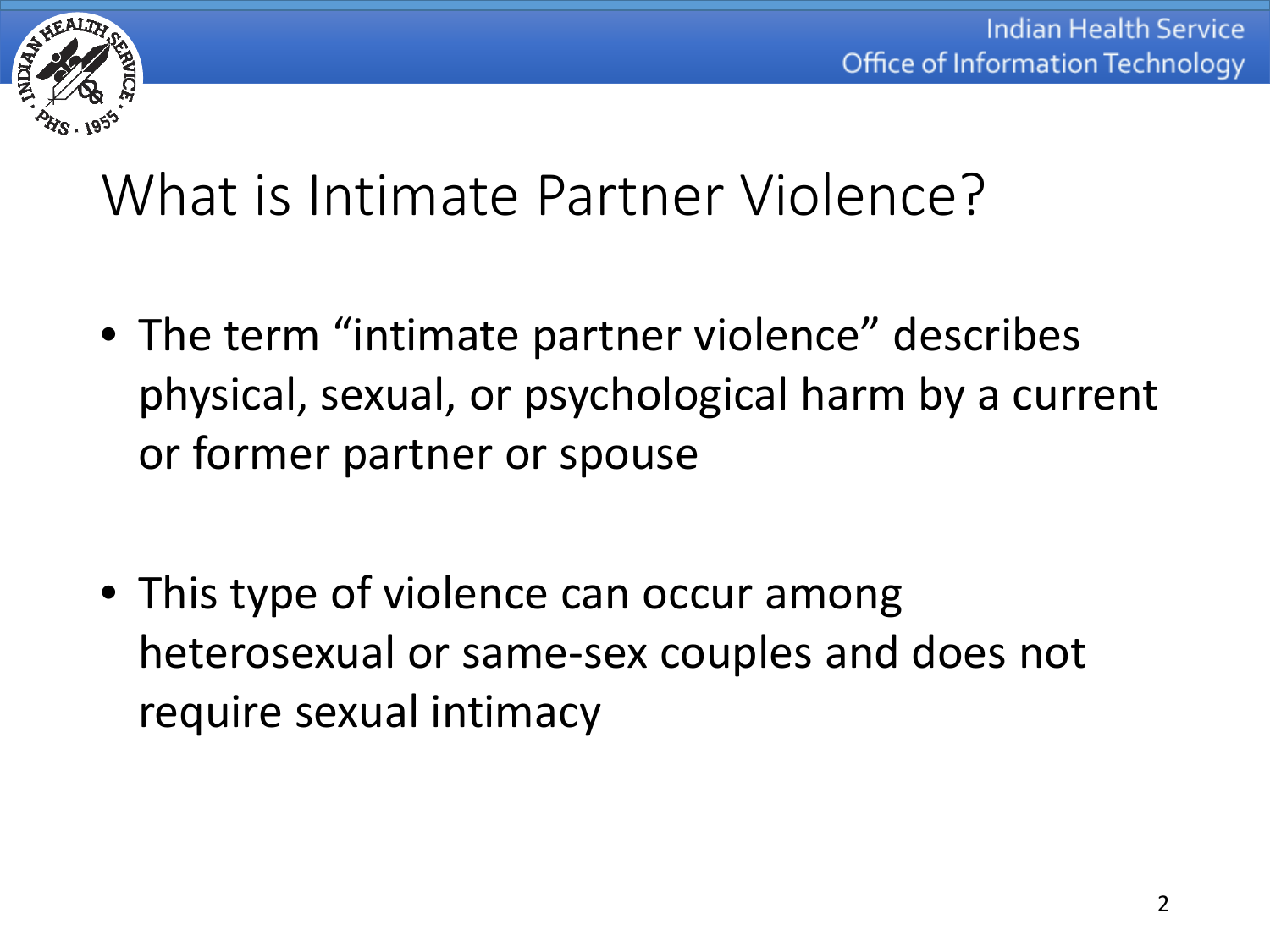

### What is Intimate Partner Violence?

- The term "intimate partner violence" describes physical, sexual, or psychological harm by a current or former partner or spouse
- This type of violence can occur among heterosexual or same-sex couples and does not require sexual intimacy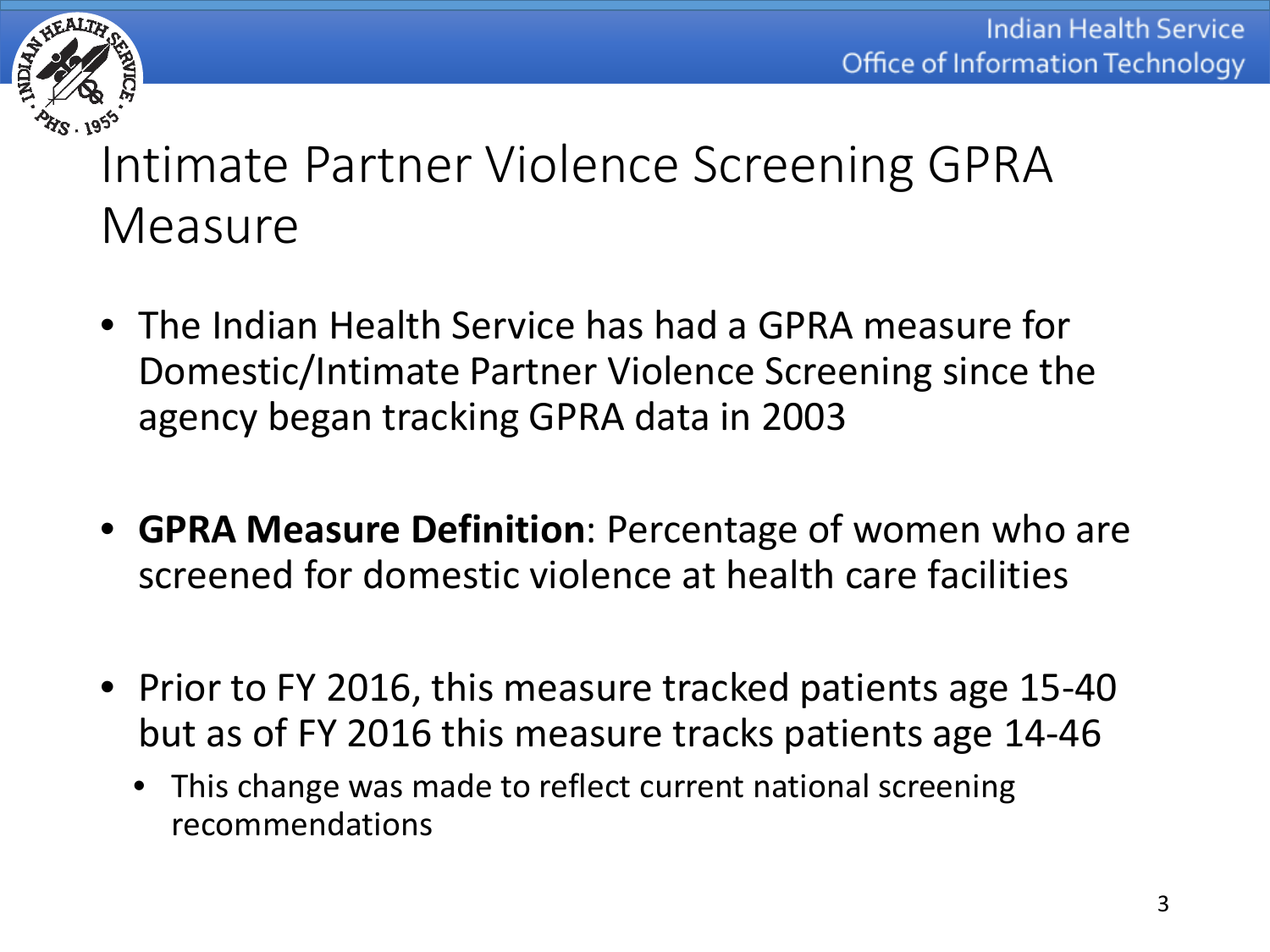

#### Intimate Partner Violence Screening GPRA Measure

- The Indian Health Service has had a GPRA measure for Domestic/Intimate Partner Violence Screening since the agency began tracking GPRA data in 2003
- **GPRA Measure Definition**: Percentage of women who are screened for domestic violence at health care facilities
- Prior to FY 2016, this measure tracked patients age 15-40 but as of FY 2016 this measure tracks patients age 14-46
	- This change was made to reflect current national screening recommendations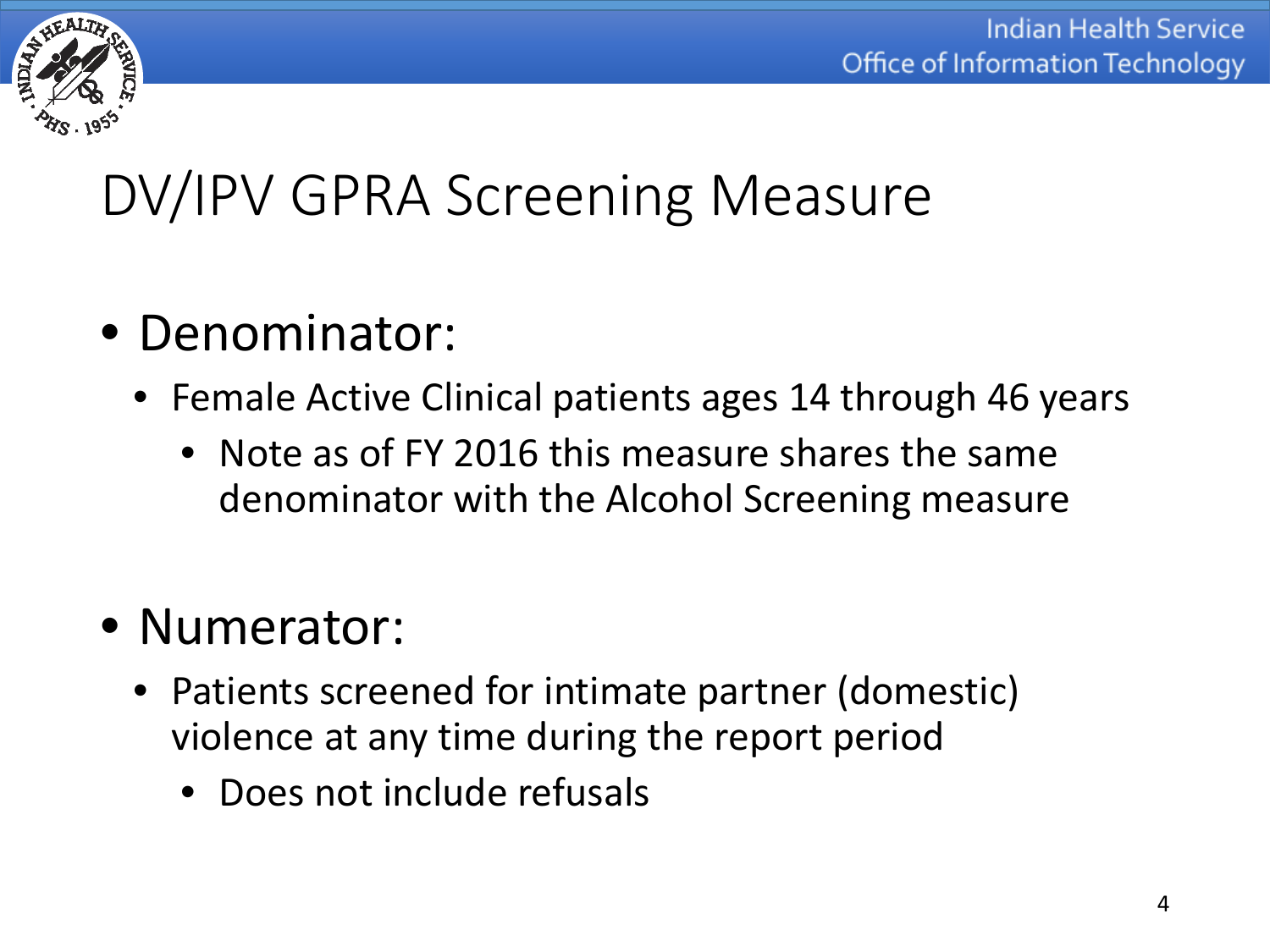

### DV/IPV GPRA Screening Measure

- Denominator:
	- Female Active Clinical patients ages 14 through 46 years
		- Note as of FY 2016 this measure shares the same denominator with the Alcohol Screening measure
- Numerator:
	- Patients screened for intimate partner (domestic) violence at any time during the report period
		- Does not include refusals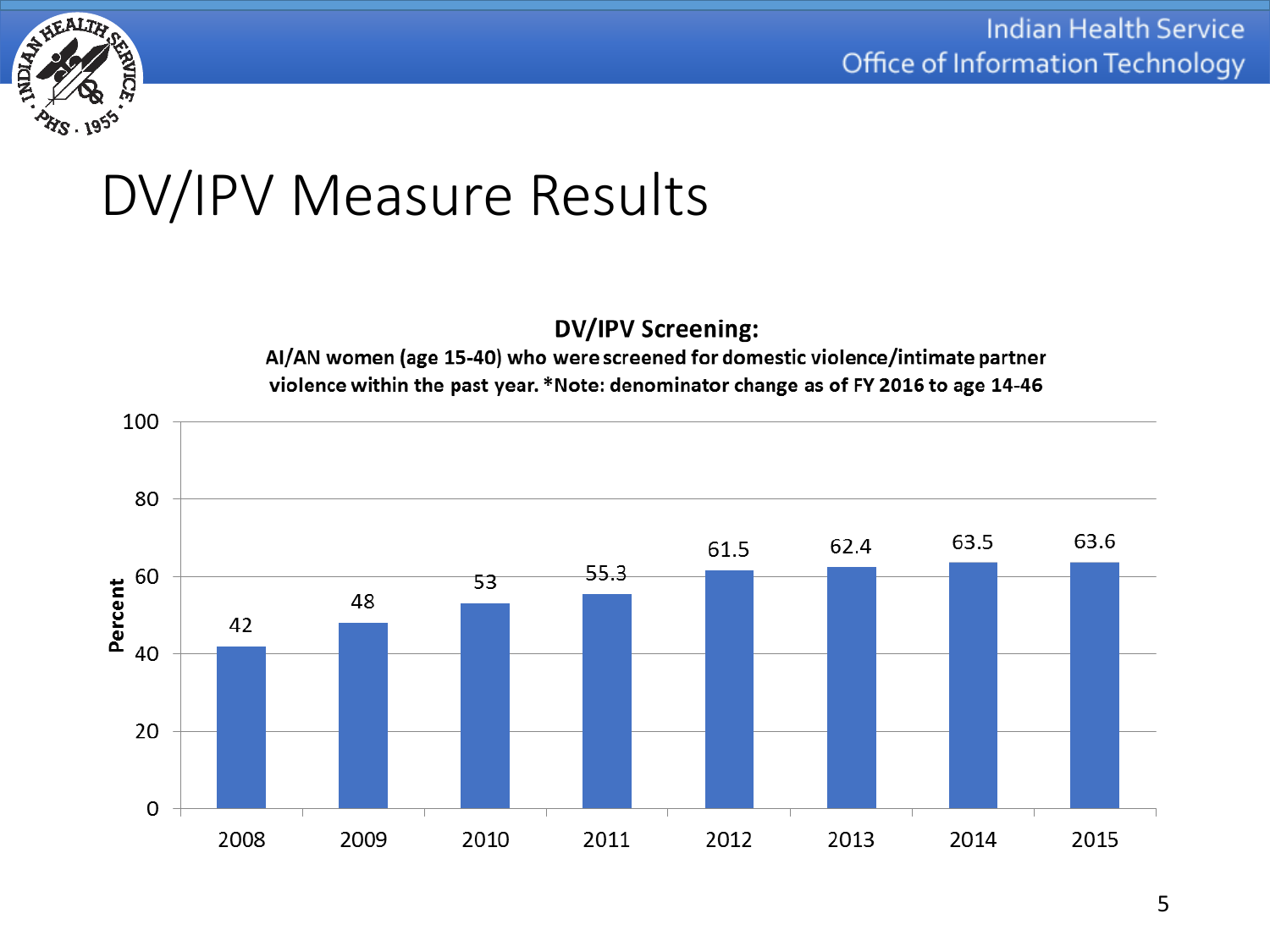

#### DV/IPV Measure Results

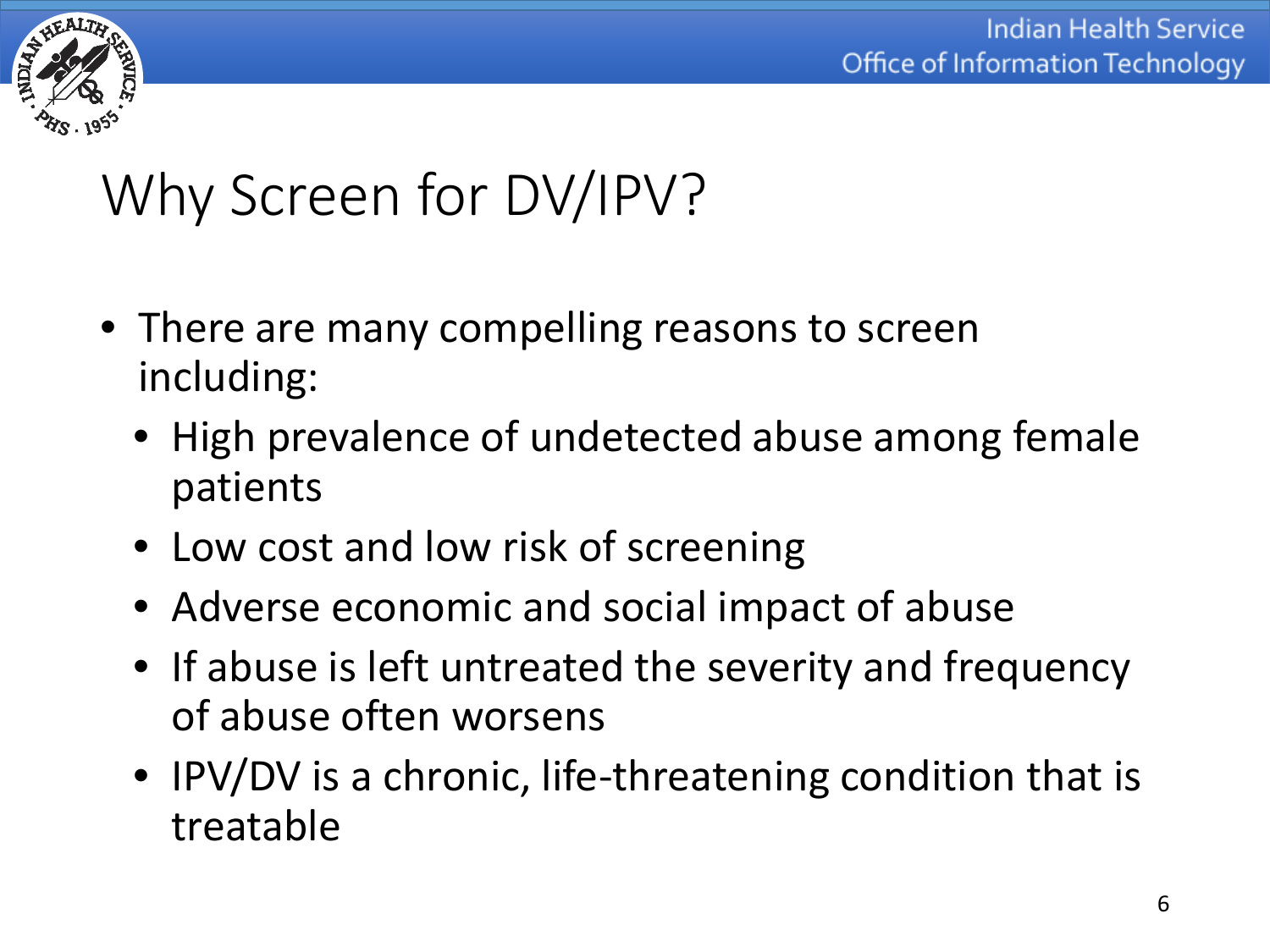

# Why Screen for DV/IPV?

- There are many compelling reasons to screen including:
	- High prevalence of undetected abuse among female patients
	- Low cost and low risk of screening
	- Adverse economic and social impact of abuse
	- If abuse is left untreated the severity and frequency of abuse often worsens
	- IPV/DV is a chronic, life-threatening condition that is treatable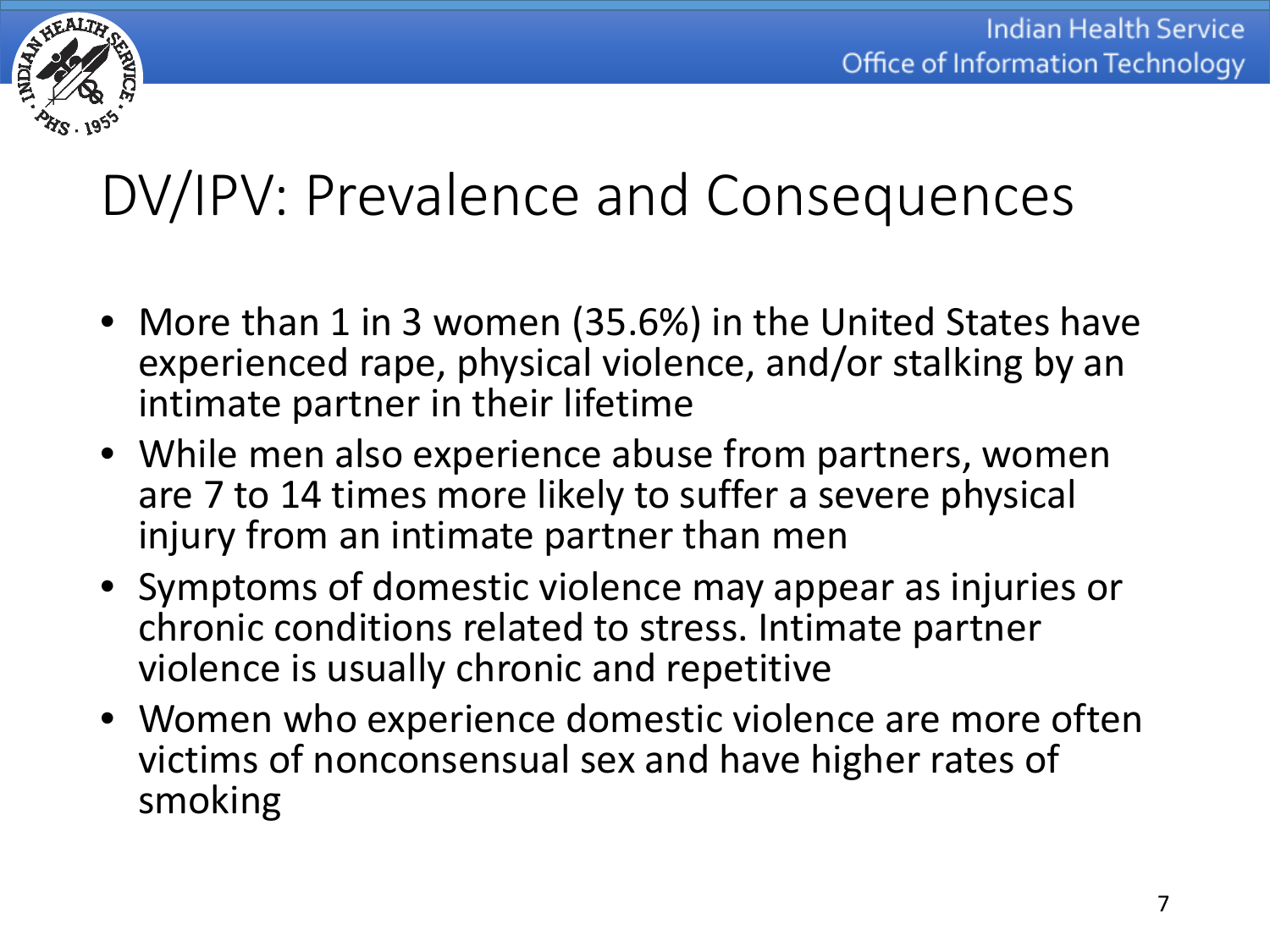

# DV/IPV: Prevalence and Consequences

- More than 1 in 3 women (35.6%) in the United States have experienced rape, physical violence, and/or stalking by an intimate partner in their lifetime
- While men also experience abuse from partners, women are 7 to 14 times more likely to suffer a severe physical injury from an intimate partner than men
- Symptoms of domestic violence may appear as injuries or chronic conditions related to stress. Intimate partner violence is usually chronic and repetitive
- Women who experience domestic violence are more often victims of nonconsensual sex and have higher rates of smoking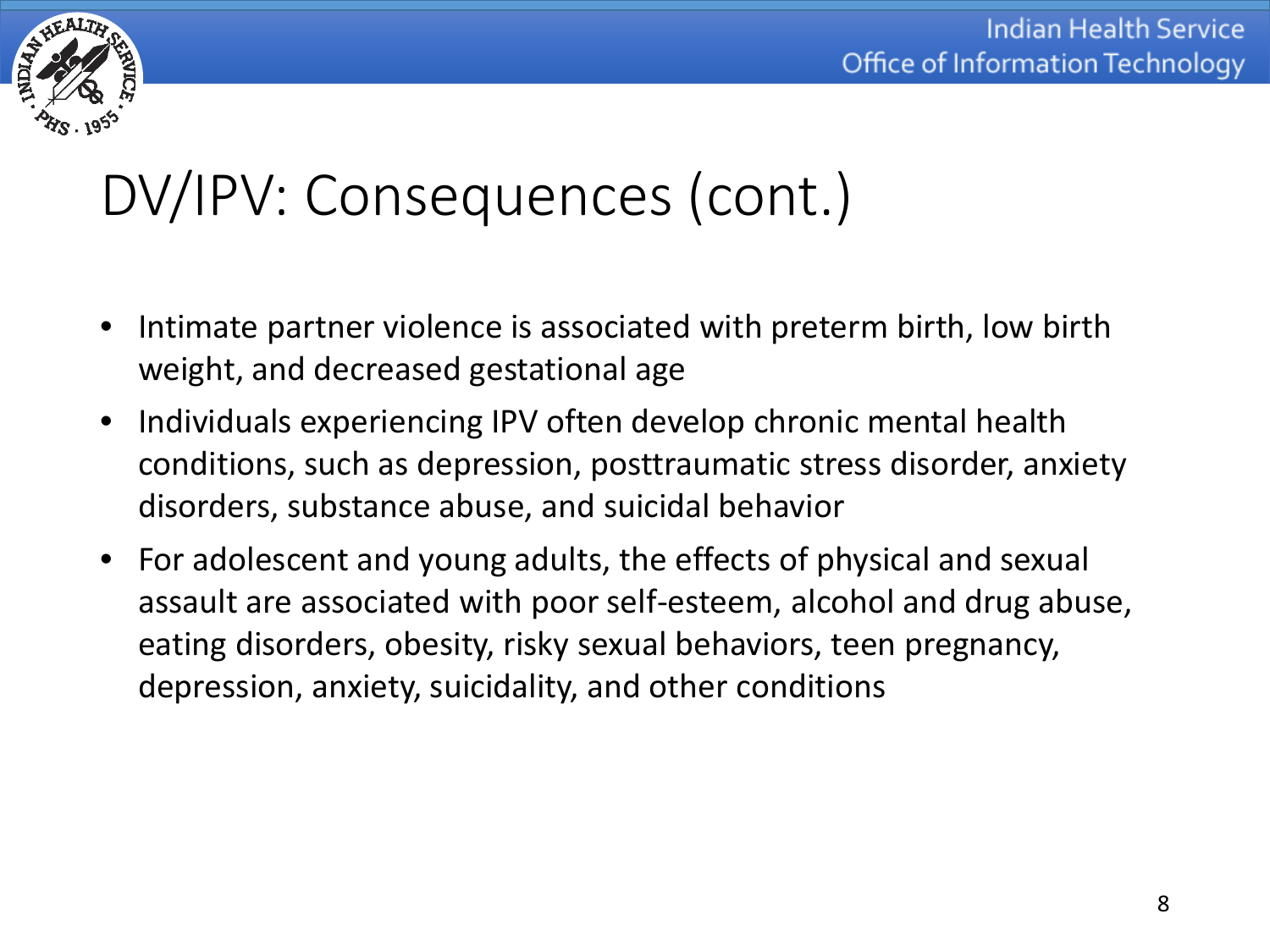

# DV/IPV: Consequences (cont.)

- Intimate partner violence is associated with preterm birth, low birth weight, and decreased gestational age
- Individuals experiencing IPV often develop chronic mental health conditions, such as depression, posttraumatic stress disorder, anxiety disorders, substance abuse, and suicidal behavior
- For adolescent and young adults, the effects of physical and sexual assault are associated with poor self-esteem, alcohol and drug abuse, eating disorders, obesity, risky sexual behaviors, teen pregnancy, depression, anxiety, suicidality, and other conditions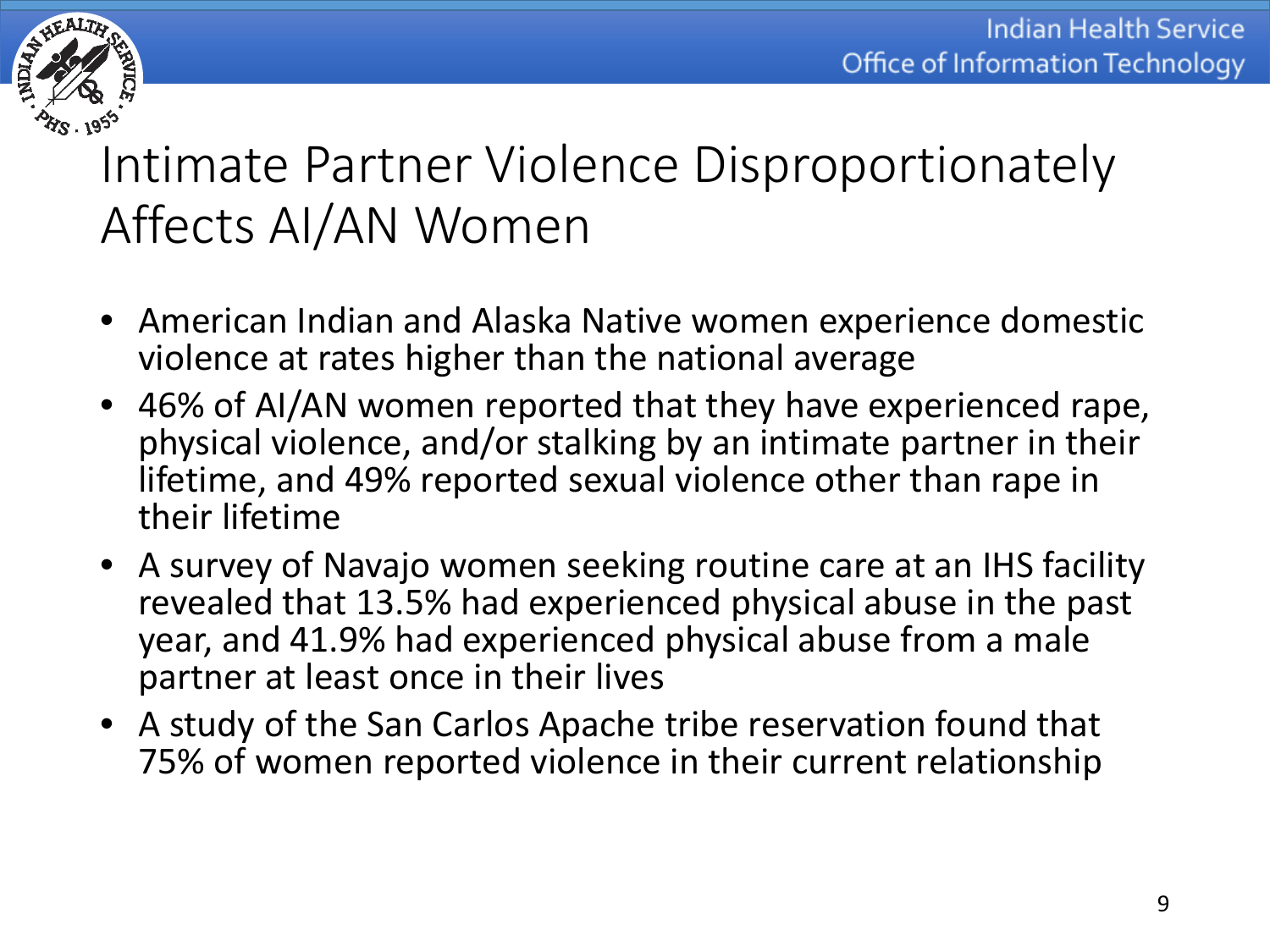

#### Intimate Partner Violence Disproportionately Affects AI/AN Women

- American Indian and Alaska Native women experience domestic violence at rates higher than the national average
- 46% of AI/AN women reported that they have experienced rape, physical violence, and/or stalking by an intimate partner in their lifetime, and 49% reported sexual violence other than rape in their lifetime
- A survey of Navajo women seeking routine care at an IHS facility revealed that 13.5% had experienced physical abuse in the past year, and 41.9% had experienced physical abuse from a male partner at least once in their lives
- A study of the San Carlos Apache tribe reservation found that 75% of women reported violence in their current relationship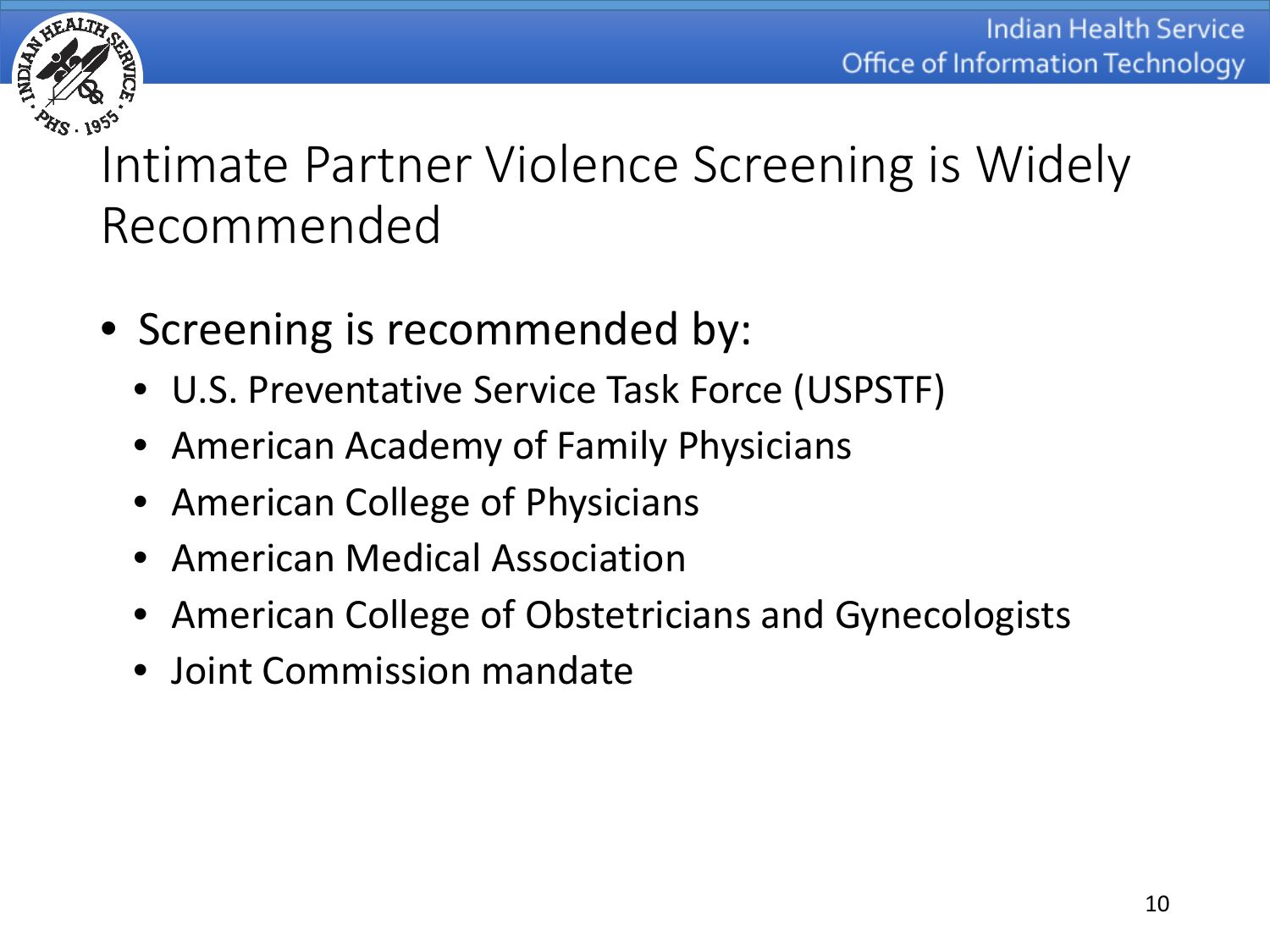

Intimate Partner Violence Screening is Widely Recommended

- Screening is recommended by:
	- U.S. Preventative Service Task Force (USPSTF)
	- American Academy of Family Physicians
	- American College of Physicians
	- American Medical Association
	- American College of Obstetricians and Gynecologists
	- Joint Commission mandate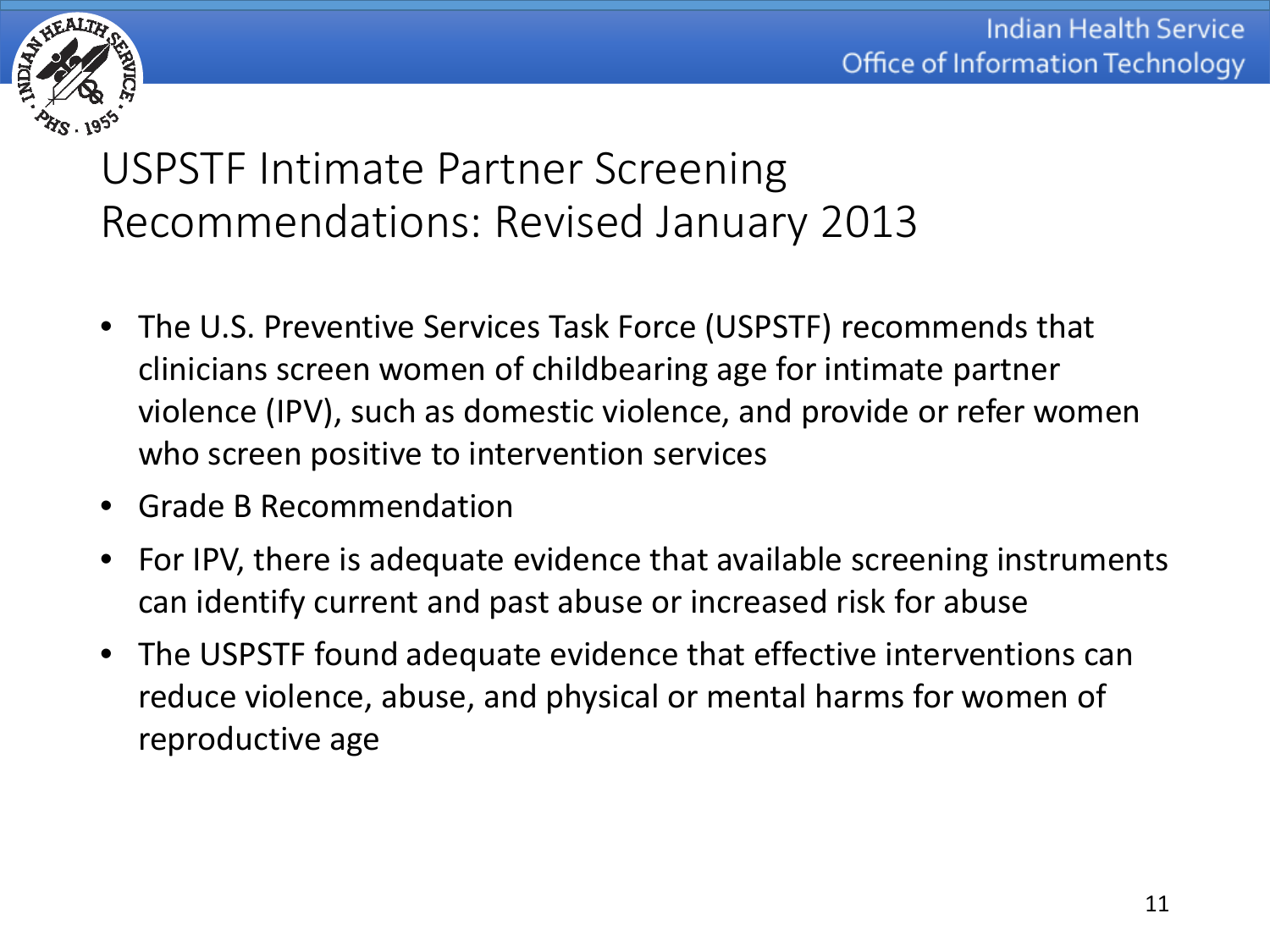

USPSTF Intimate Partner Screening Recommendations: Revised January 2013

- The U.S. Preventive Services Task Force (USPSTF) recommends that clinicians screen women of childbearing age for intimate partner violence (IPV), such as domestic violence, and provide or refer women who screen positive to intervention services
- Grade B Recommendation
- For IPV, there is adequate evidence that available screening instruments can identify current and past abuse or increased risk for abuse
- The USPSTF found adequate evidence that effective interventions can reduce violence, abuse, and physical or mental harms for women of reproductive age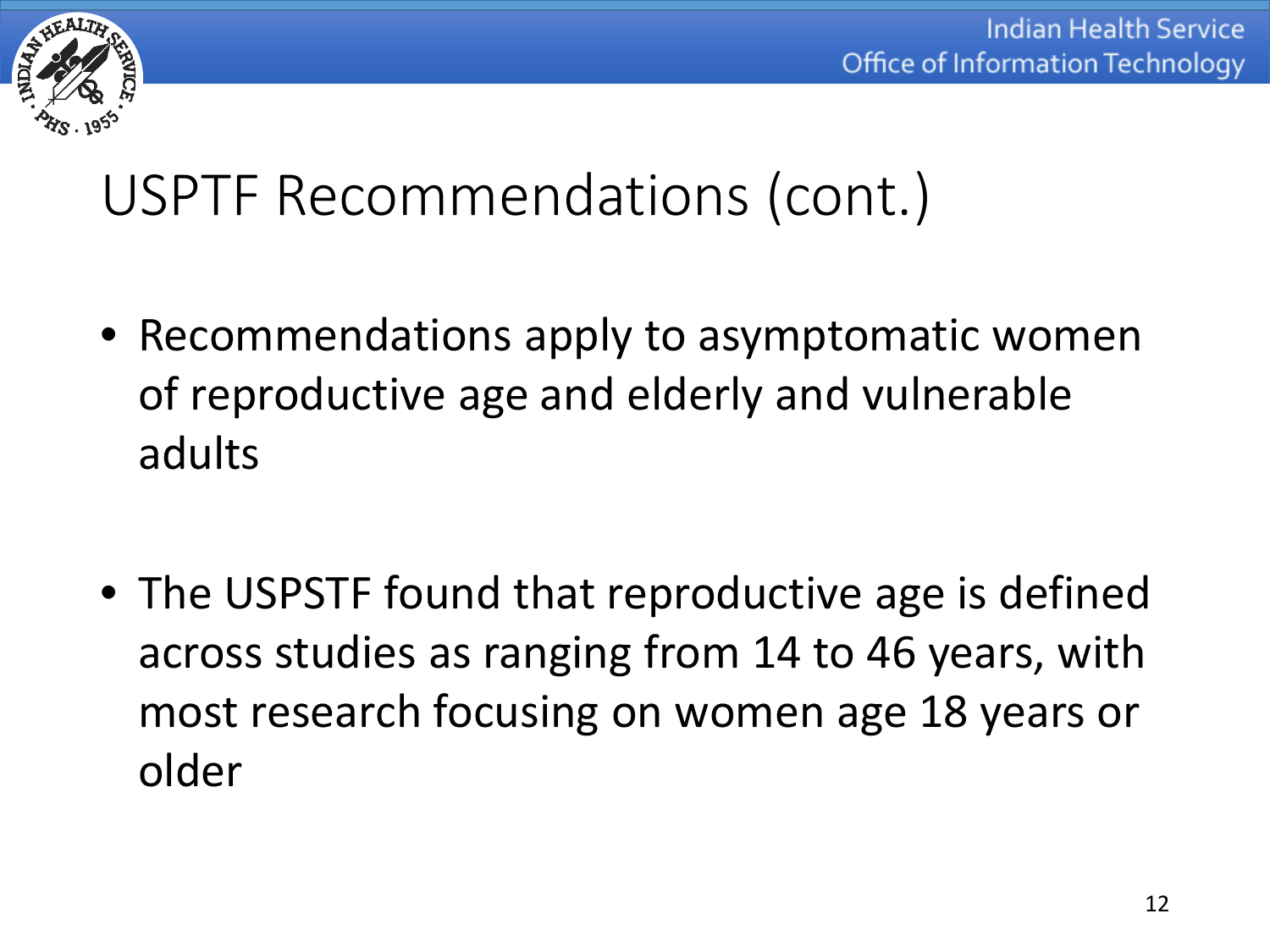

# USPTF Recommendations (cont.)

- Recommendations apply to asymptomatic women of reproductive age and elderly and vulnerable adults
- The USPSTF found that reproductive age is defined across studies as ranging from 14 to 46 years, with most research focusing on women age 18 years or older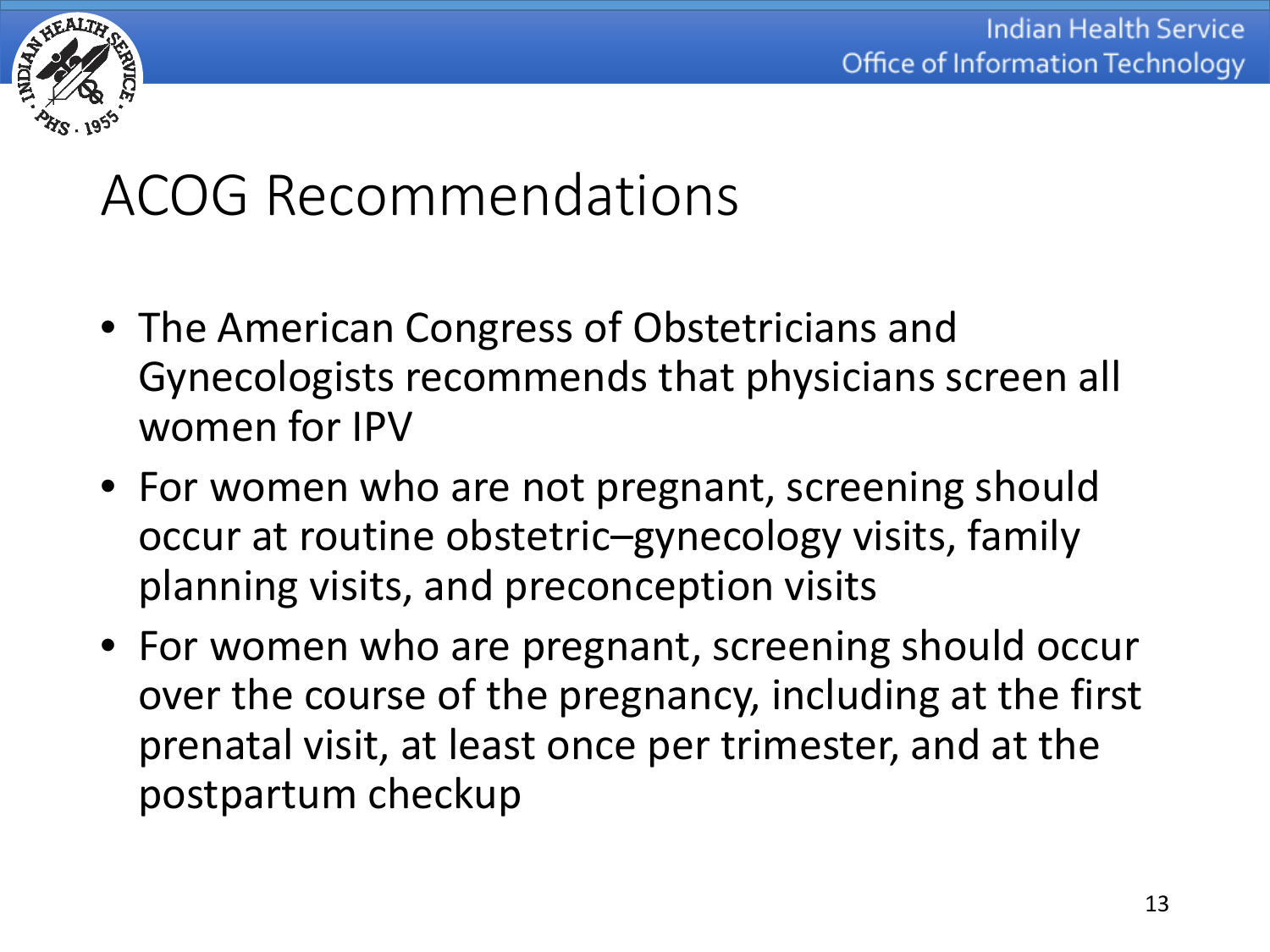

### ACOG Recommendations

- The American Congress of Obstetricians and Gynecologists recommends that physicians screen all women for IPV
- For women who are not pregnant, screening should occur at routine obstetric–gynecology visits, family planning visits, and preconception visits
- For women who are pregnant, screening should occur over the course of the pregnancy, including at the first prenatal visit, at least once per trimester, and at the postpartum checkup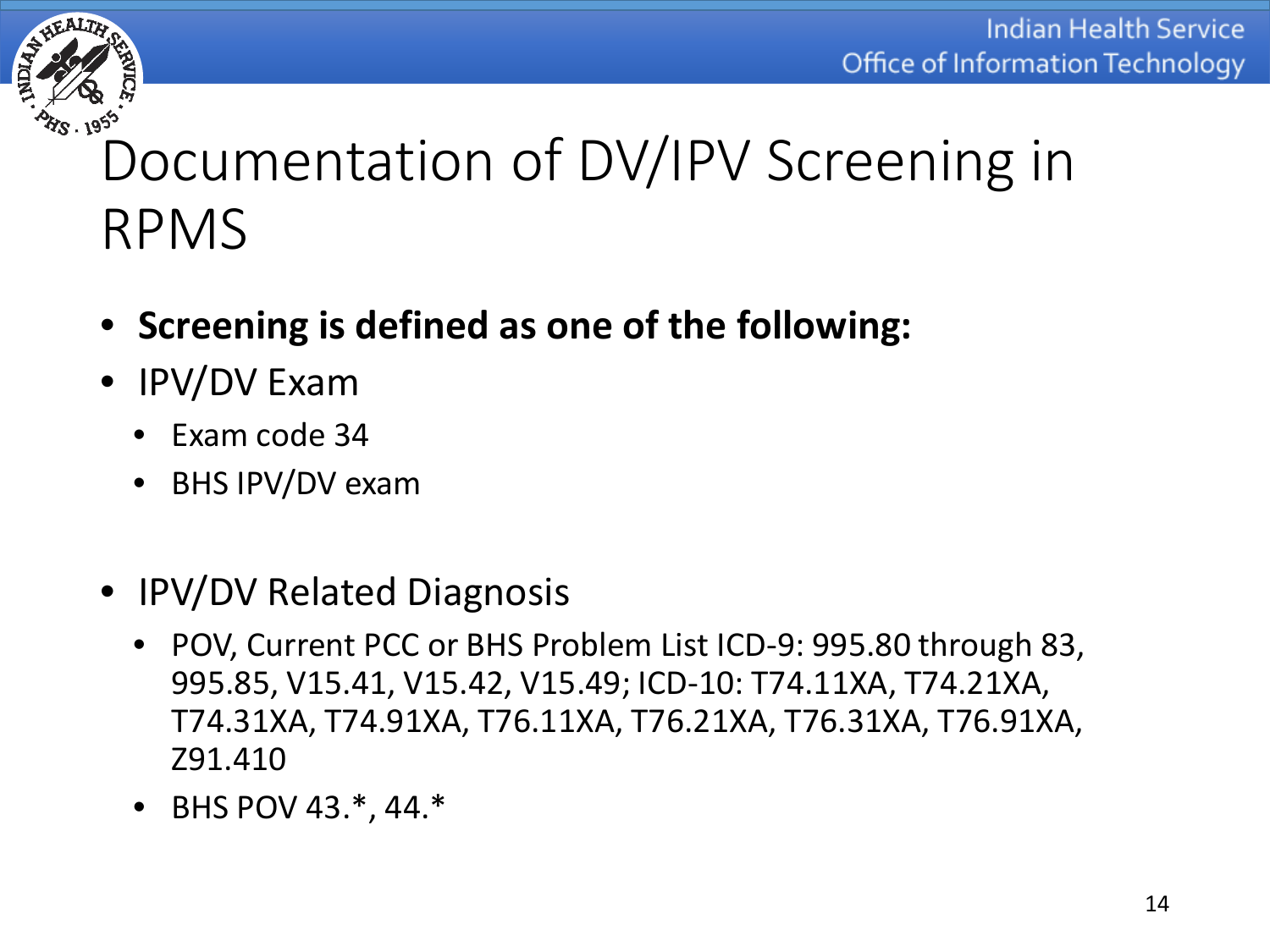

# Documentation of DV/IPV Screening in RPMS

- **Screening is defined as one of the following:**
- IPV/DV Exam
	- Exam code 34
	- BHS IPV/DV exam
- IPV/DV Related Diagnosis
	- POV, Current PCC or BHS Problem List ICD-9: 995.80 through 83, 995.85, V15.41, V15.42, V15.49; ICD-10: T74.11XA, T74.21XA, T74.31XA, T74.91XA, T76.11XA, T76.21XA, T76.31XA, T76.91XA, Z91.410
	- BHS POV 43.\*, 44.\*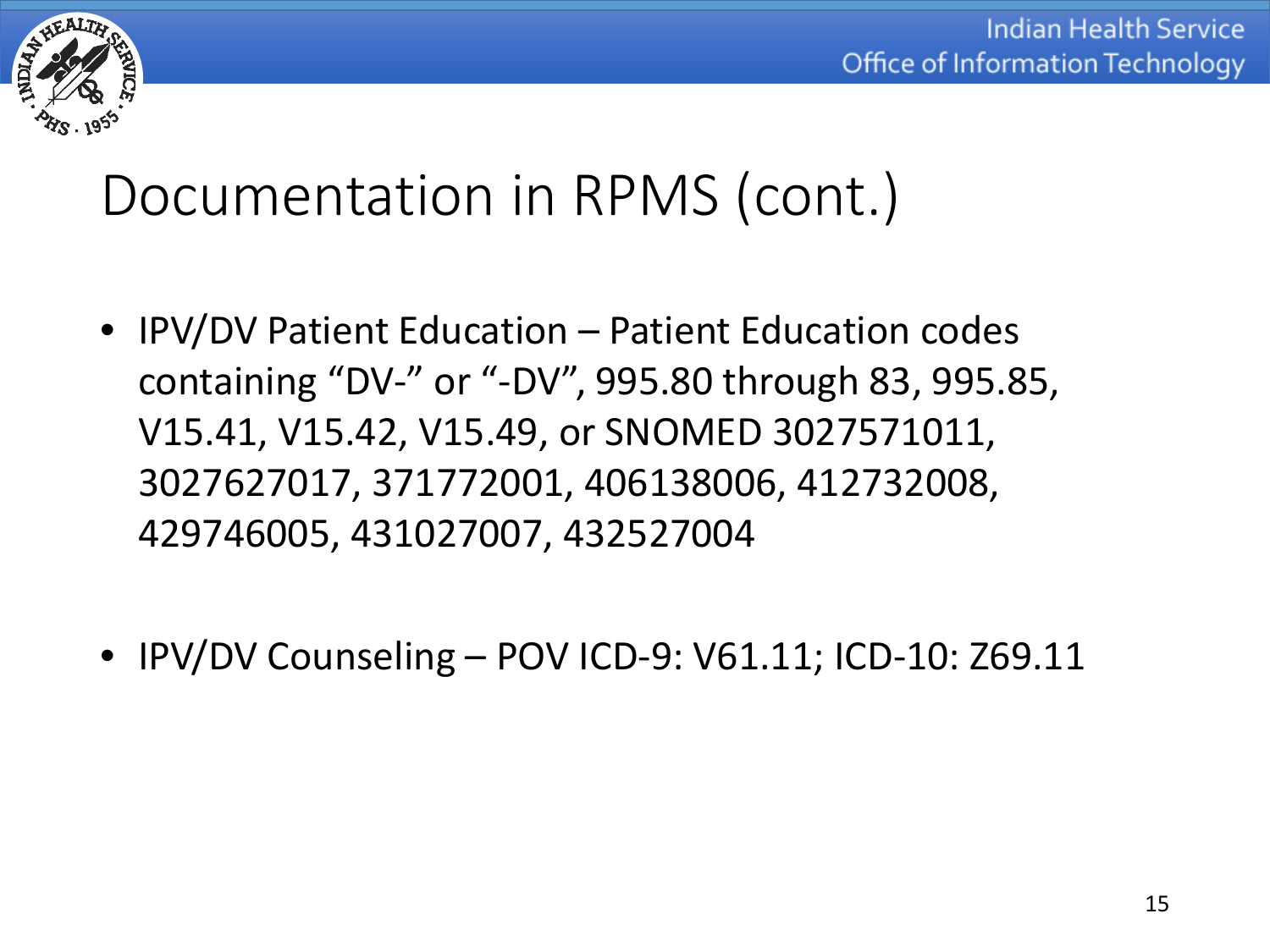

# Documentation in RPMS (cont.)

- IPV/DV Patient Education Patient Education codes containing "DV-" or "-DV", 995.80 through 83, 995.85, V15.41, V15.42, V15.49, or SNOMED 3027571011, 3027627017, 371772001, 406138006, 412732008, 429746005, 431027007, 432527004
- IPV/DV Counseling POV ICD-9: V61.11; ICD-10: Z69.11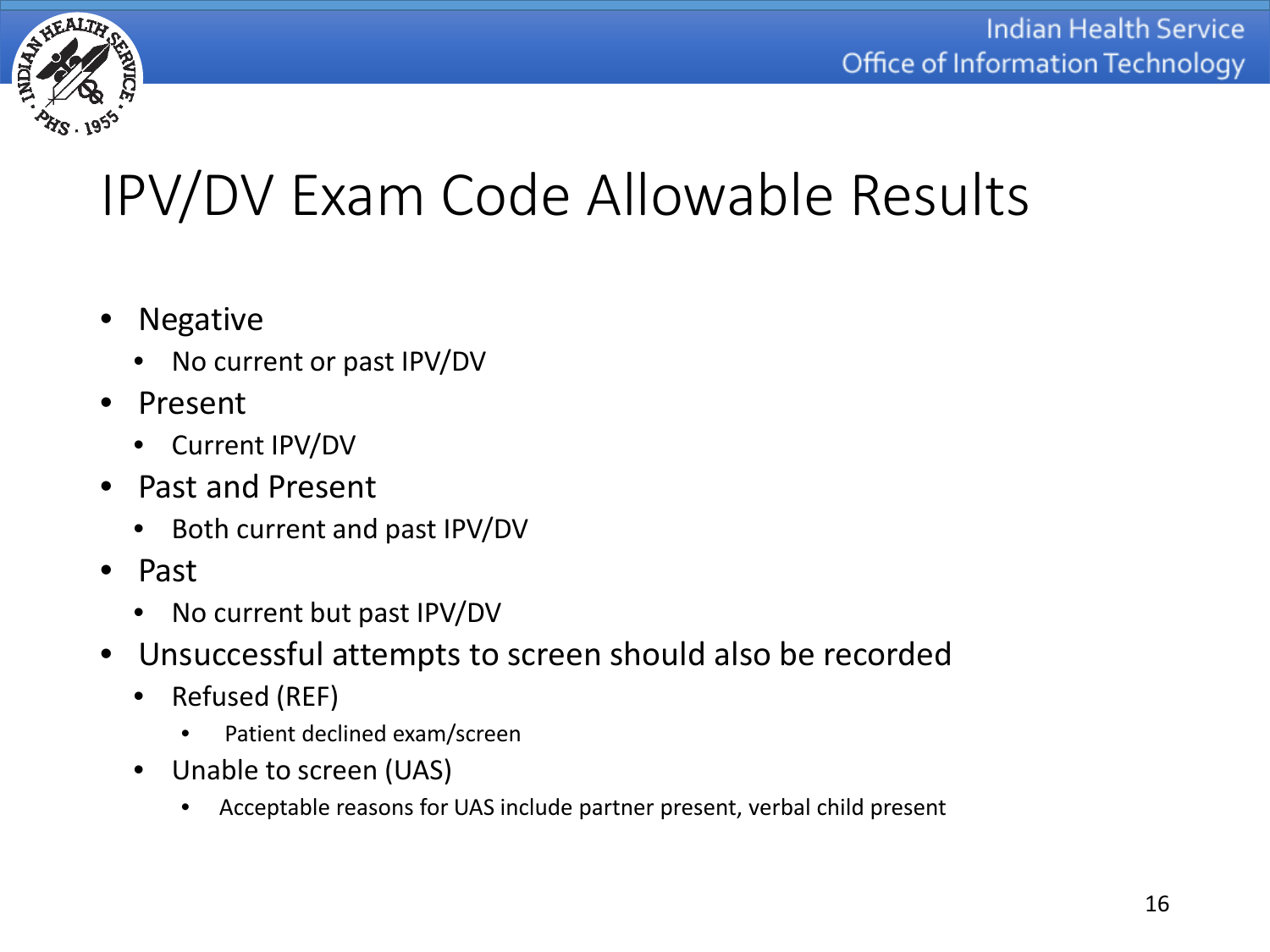

# IPV/DV Exam Code Allowable Results

- Negative
	- No current or past IPV/DV
- Present
	- Current IPV/DV
- Past and Present
	- Both current and past IPV/DV
- Past
	- No current but past IPV/DV
- Unsuccessful attempts to screen should also be recorded
	- Refused (REF)
		- Patient declined exam/screen
	- Unable to screen (UAS)
		- Acceptable reasons for UAS include partner present, verbal child present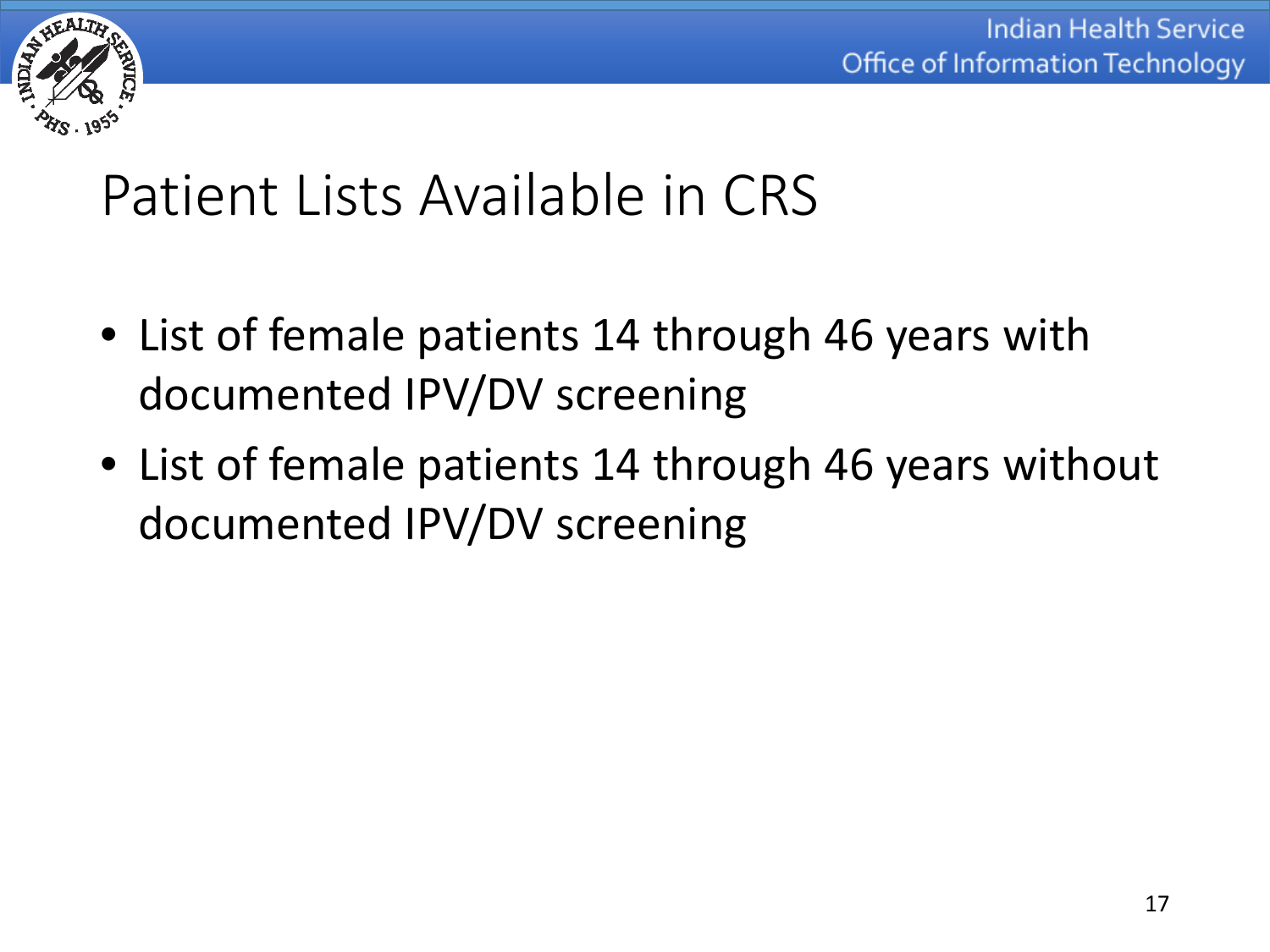

#### Patient Lists Available in CRS

- List of female patients 14 through 46 years with documented IPV/DV screening
- List of female patients 14 through 46 years without documented IPV/DV screening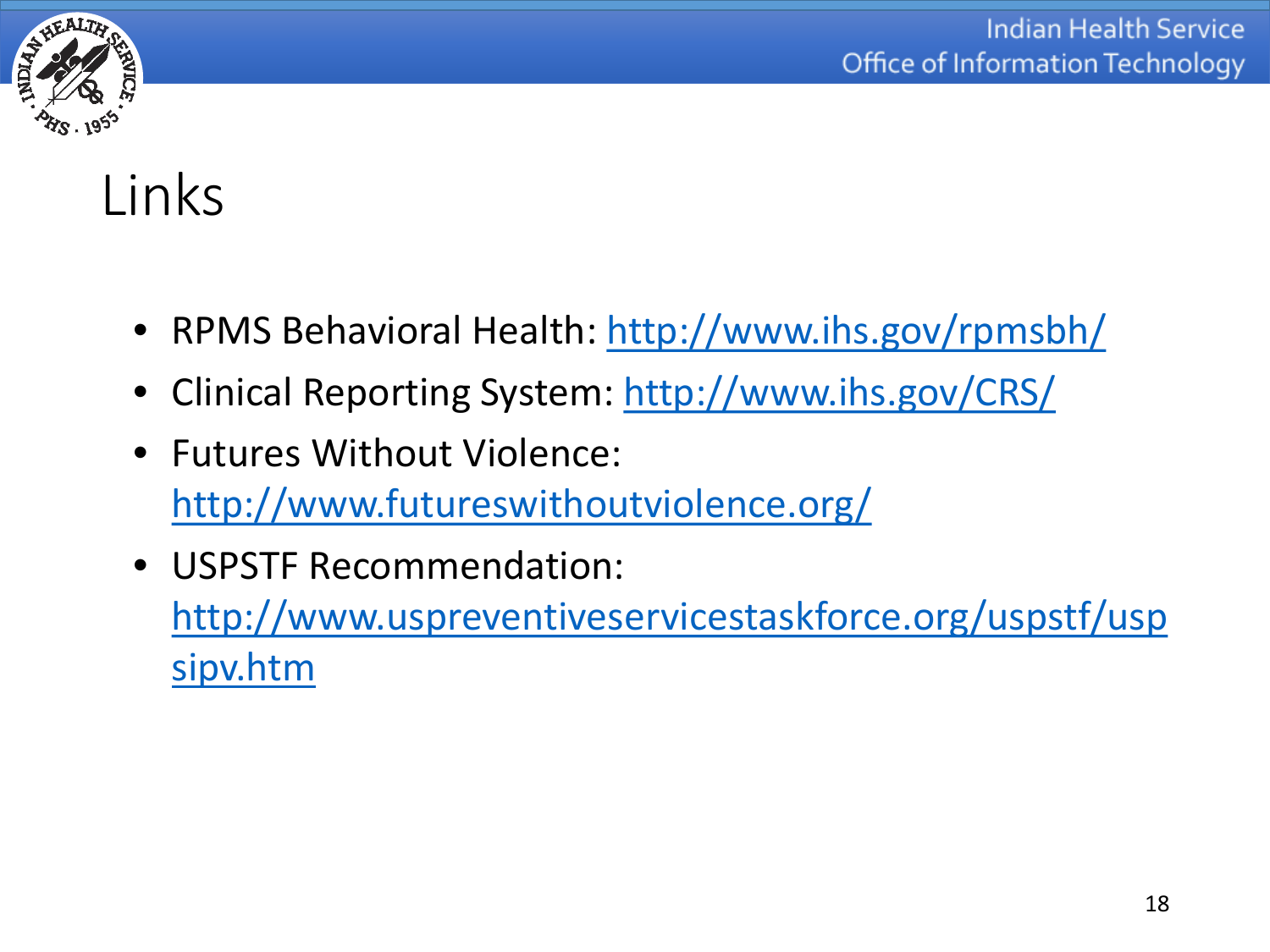

### Links

- RPMS Behavioral Health:<http://www.ihs.gov/rpmsbh/>
- Clinical Reporting System:<http://www.ihs.gov/CRS/>
- Futures Without Violence: <http://www.futureswithoutviolence.org/>
- USPSTF Recommendation: [http://www.uspreventiveservicestaskforce.org/uspstf/usp](http://www.uspreventiveservicestaskforce.org/uspstf/uspsipv.htm) [sipv.htm](http://www.uspreventiveservicestaskforce.org/uspstf/uspsipv.htm)